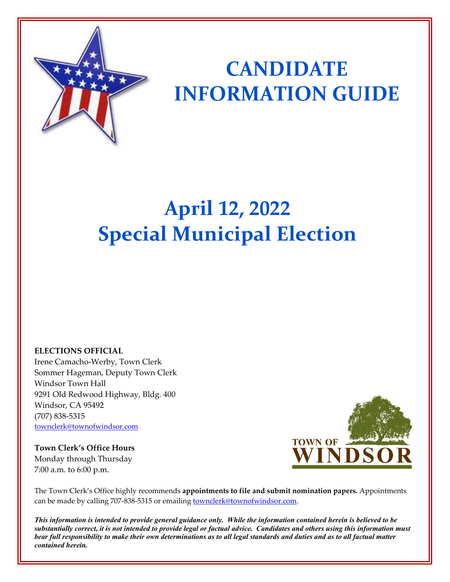

# **CANDIDATE INFORMATION GUIDE**

# **April 12, 2022 Special Municipal Election**

## **ELECTIONS OFFICIAL**

Irene Camacho-Werby, Town Clerk Sommer Hageman, Deputy Town Clerk Windsor Town Hall 9291 Old Redwood Highway, Bldg. 400 Windsor, CA 95492 (707) 838-5315 [townclerk@townofwindsor.com](mailto:townclerk@townofwindsor.com)

**Town Clerk's Office Hours** Monday through Thursday 7:00 a.m. to 6:00 p.m.



The Town Clerk's Office highly recommends **appointments to file and submit nomination papers.** Appointments can be made by calling 707-838-5315 or emailing **townclerk@townofwindsor.com**.

*This information is intended to provide general guidance only. While the information contained herein is believed to be substantially correct, it is not intended to provide legal or factual advice. Candidates and others using this information must bear full responsibility to make their own determinations as to all legal standards and duties and as to all factual matter contained herein.*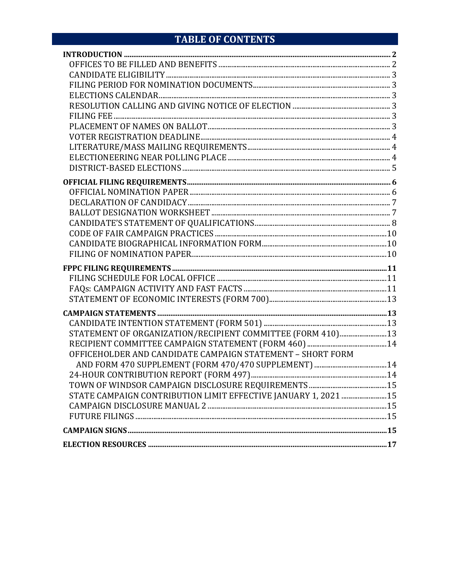# TABLE OF CONTENTS

| STATEMENT OF ORGANIZATION/RECIPIENT COMMITTEE (FORM 410) 13     |  |
|-----------------------------------------------------------------|--|
|                                                                 |  |
| OFFICEHOLDER AND CANDIDATE CAMPAIGN STATEMENT - SHORT FORM      |  |
|                                                                 |  |
|                                                                 |  |
|                                                                 |  |
| STATE CAMPAIGN CONTRIBUTION LIMIT EFFECTIVE JANUARY 1, 2021  15 |  |
|                                                                 |  |
|                                                                 |  |
|                                                                 |  |
|                                                                 |  |
|                                                                 |  |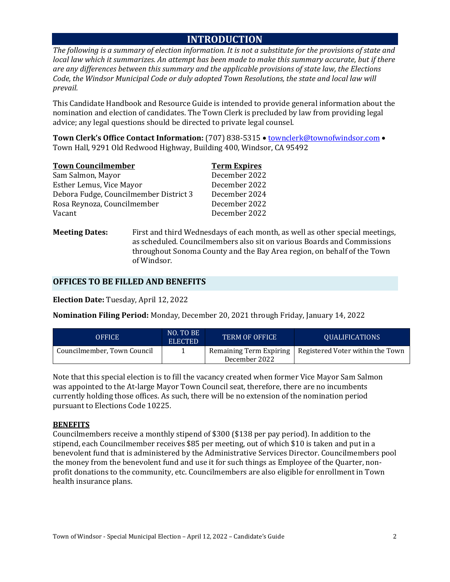## **INTRODUCTION**

*The following is a summary of election information. It is not a substitute for the provisions of state and local law which it summarizes. An attempt has been made to make this summary accurate, but if there are any differences between this summary and the applicable provisions of state law, the Elections Code, the Windsor Municipal Code or duly adopted Town Resolutions, the state and local law will prevail.* 

This Candidate Handbook and Resource Guide is intended to provide general information about the nomination and election of candidates. The Town Clerk is precluded by law from providing legal advice; any legal questions should be directed to private legal counsel.

**Town Clerk's Office Contact Information:** (707) 838-5315 • [townclerk@townofwindsor.com](mailto:townclerk@townofwindsor.com) • Town Hall, 9291 Old Redwood Highway, Building 400, Windsor, CA 95492

| <b>Town Councilmember</b>              | <b>Term Expires</b> |
|----------------------------------------|---------------------|
| Sam Salmon, Mayor                      | December 2022       |
| Esther Lemus, Vice Mayor               | December 2022       |
| Debora Fudge, Councilmember District 3 | December 2024       |
| Rosa Reynoza, Councilmember            | December 2022       |
| Vacant                                 | December 2022       |

**Meeting Dates:** First and third Wednesdays of each month, as well as other special meetings, as scheduled. Councilmembers also sit on various Boards and Commissions throughout Sonoma County and the Bay Area region, on behalf of the Town of Windsor.

#### **OFFICES TO BE FILLED AND BENEFITS**

**Election Date:** Tuesday, April 12, 2022

**Nomination Filing Period:** Monday, December 20, 2021 through Friday, January 14, 2022

| <b>OFFICE</b>               | NO. TO BE<br><b>ELECTED</b> | <b>TERM OF OFFICE</b>                    | QUALIFICATIONS                   |
|-----------------------------|-----------------------------|------------------------------------------|----------------------------------|
| Councilmember, Town Council |                             | Remaining Term Expiring<br>December 2022 | Registered Voter within the Town |

Note that this special election is to fill the vacancy created when former Vice Mayor Sam Salmon was appointed to the At-large Mayor Town Council seat, therefore, there are no incumbents currently holding those offices. As such, there will be no extension of the nomination period pursuant to Elections Code 10225.

#### **BENEFITS**

Councilmembers receive a monthly stipend of \$300 (\$138 per pay period). In addition to the stipend, each Councilmember receives \$85 per meeting, out of which \$10 is taken and put in a benevolent fund that is administered by the Administrative Services Director. Councilmembers pool the money from the benevolent fund and use it for such things as Employee of the Quarter, nonprofit donations to the community, etc. Councilmembers are also eligible for enrollment in Town health insurance plans.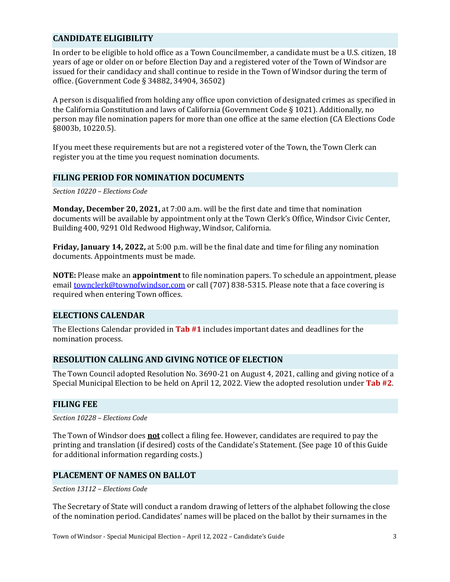## **CANDIDATE ELIGIBILITY**

In order to be eligible to hold office as a Town Councilmember, a candidate must be a U.S. citizen, 18 years of age or older on or before Election Day and a registered voter of the Town of Windsor are issued for their candidacy and shall continue to reside in the Town of Windsor during the term of office. (Government Code § 34882, 34904, 36502)

A person is disqualified from holding any office upon conviction of designated crimes as specified in the California Constitution and laws of California (Government Code § 1021). Additionally, no person may file nomination papers for more than one office at the same election (CA Elections Code §8003b, 10220.5).

If you meet these requirements but are not a registered voter of the Town, the Town Clerk can register you at the time you request nomination documents.

#### **FILING PERIOD FOR NOMINATION DOCUMENTS**

*Section 10220 – Elections Code*

**Monday, December 20, 2021,** at 7:00 a.m. will be the first date and time that nomination documents will be available by appointment only at the Town Clerk's Office, Windsor Civic Center, Building 400, 9291 Old Redwood Highway, Windsor, California.

**Friday, January 14, 2022,** at 5:00 p.m. will be the final date and time for filing any nomination documents. Appointments must be made.

**NOTE:** Please make an **appointment** to file nomination papers. To schedule an appointment, please email [townclerk@townofwindsor.com](mailto:townclerk@townofwindsor.com) or call (707) 838-5315. Please note that a face covering is required when entering Town offices.

#### **ELECTIONS CALENDAR**

The Elections Calendar provided in **Tab #1** includes important dates and deadlines for the nomination process.

## **RESOLUTION CALLING AND GIVING NOTICE OF ELECTION**

The Town Council adopted Resolution No. 3690-21 on August 4, 2021, calling and giving notice of a Special Municipal Election to be held on April 12, 2022. View the adopted resolution under **Tab #2**.

#### **FILING FEE**

*Section 10228 – Elections Code*

The Town of Windsor does **not** collect a filing fee. However, candidates are required to pay the printing and translation (if desired) costs of the Candidate's Statement. (See page 10 of this Guide for additional information regarding costs.)

#### **PLACEMENT OF NAMES ON BALLOT**

*Section 13112 – Elections Code*

The Secretary of State will conduct a random drawing of letters of the alphabet following the close of the nomination period. Candidates' names will be placed on the ballot by their surnames in the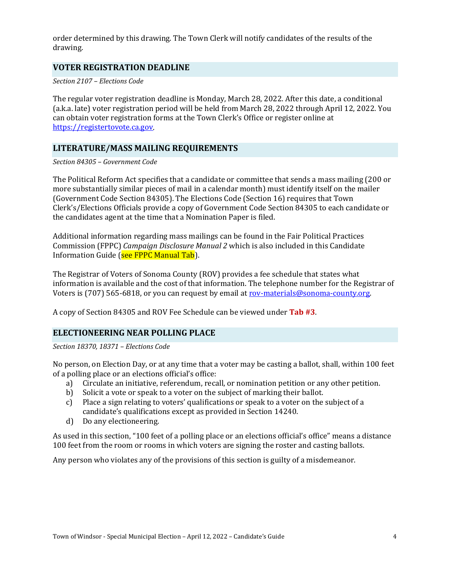order determined by this drawing. The Town Clerk will notify candidates of the results of the drawing.

#### **VOTER REGISTRATION DEADLINE**

*Section 2107 – Elections Code*

The regular voter registration deadline is Monday, March 28, 2022. After this date, a conditional (a.k.a. late) voter registration period will be held from March 28, 2022 through April 12, 2022. You can obtain voter registration forms at the Town Clerk's Office or register online at [https://registertovote.ca.gov.](https://registertovote.ca.gov/) 

### **LITERATURE/MASS MAILING REQUIREMENTS**

*Section 84305 – Government Code*

The Political Reform Act specifies that a candidate or committee that sends a mass mailing (200 or more substantially similar pieces of mail in a calendar month) must identify itself on the mailer (Government Code Section 84305). The Elections Code (Section 16) requires that Town Clerk's/Elections Officials provide a copy of Government Code Section 84305 to each candidate or the candidates agent at the time that a Nomination Paper is filed.

Additional information regarding mass mailings can be found in the Fair Political Practices Commission (FPPC) *Campaign Disclosure Manual 2* which is also included in this Candidate Information Guide (see FPPC Manual Tab).

The Registrar of Voters of Sonoma County (ROV) provides a fee schedule that states what information is available and the cost of that information. The telephone number for the Registrar of Voters is (707) 565-6818, or you can request by email at rov-materials@sonoma-county.org.

A copy of Section 84305 and ROV Fee Schedule can be viewed under **Tab #3**.

#### **ELECTIONEERING NEAR POLLING PLACE**

*Section 18370, 18371 – Elections Code*

No person, on Election Day, or at any time that a voter may be casting a ballot, shall, within 100 feet of a polling place or an elections official's office:

- a) Circulate an initiative, referendum, recall, or nomination petition or any other petition.
- b) Solicit a vote or speak to a voter on the subject of marking their ballot.
- c) Place a sign relating to voters' qualifications or speak to a voter on the subject of a candidate's qualifications except as provided in Section 14240.
- d) Do any electioneering.

As used in this section, "100 feet of a polling place or an elections official's office" means a distance 100 feet from the room or rooms in which voters are signing the roster and casting ballots.

Any person who violates any of the provisions of this section is guilty of a misdemeanor.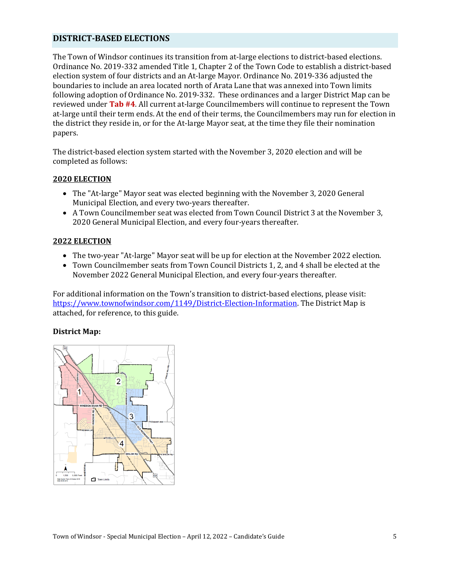#### **DISTRICT-BASED ELECTIONS**

The Town of Windsor continues its transition from at-large elections to district-based elections. Ordinance No. 2019-332 amended Title 1, Chapter 2 of the Town Code to establish a district-based election system of four districts and an At-large Mayor. Ordinance No. 2019-336 adjusted the boundaries to include an area located north of Arata Lane that was annexed into Town limits following adoption of Ordinance No. 2019-332. These ordinances and a larger District Map can be reviewed under **Tab #4**. All current at-large Councilmembers will continue to represent the Town at-large until their term ends. At the end of their terms, the Councilmembers may run for election in the district they reside in, or for the At-large Mayor seat, at the time they file their nomination papers.

The district-based election system started with the November 3, 2020 election and will be completed as follows:

#### **2020 ELECTION**

- The "At-large" Mayor seat was elected beginning with the November 3, 2020 General Municipal Election, and every two-years thereafter.
- A Town Councilmember seat was elected from Town Council District 3 at the November 3, 2020 General Municipal Election, and every four-years thereafter.

#### **2022 ELECTION**

- The two-year "At-large" Mayor seat will be up for election at the November 2022 election.
- Town Councilmember seats from Town Council Districts 1, 2, and 4 shall be elected at the November 2022 General Municipal Election, and every four-years thereafter.

For additional information on the Town's transition to district-based elections, please visit: [https://www.townofwindsor.com/1149/District-Election-Information.](https://www.townofwindsor.com/1149/District-Election-Information) The District Map is attached, for reference, to this guide.

#### **District Map:**

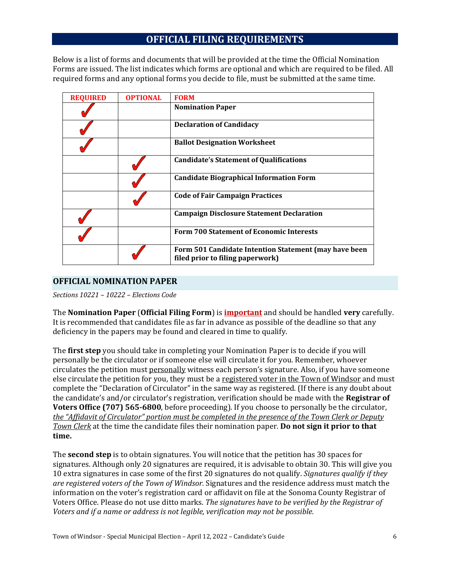## **OFFICIAL FILING REQUIREMENTS**

Below is a list of forms and documents that will be provided at the time the Official Nomination Forms are issued. The list indicates which forms are optional and which are required to be filed. All required forms and any optional forms you decide to file, must be submitted at the same time.

| <b>REQUIRED</b> | <b>OPTIONAL</b> | <b>FORM</b>                                                                               |
|-----------------|-----------------|-------------------------------------------------------------------------------------------|
|                 |                 | <b>Nomination Paper</b>                                                                   |
|                 |                 | <b>Declaration of Candidacy</b>                                                           |
|                 |                 | <b>Ballot Designation Worksheet</b>                                                       |
|                 |                 | <b>Candidate's Statement of Qualifications</b>                                            |
|                 |                 | <b>Candidate Biographical Information Form</b>                                            |
|                 |                 | <b>Code of Fair Campaign Practices</b>                                                    |
|                 |                 | <b>Campaign Disclosure Statement Declaration</b>                                          |
|                 |                 | <b>Form 700 Statement of Economic Interests</b>                                           |
|                 |                 | Form 501 Candidate Intention Statement (may have been<br>filed prior to filing paperwork) |

#### **OFFICIAL NOMINATION PAPER**

*Sections 10221 – 10222 – Elections Code*

The **Nomination Paper** (**Official Filing Form**) is **important** and should be handled **very** carefully. It is recommended that candidates file as far in advance as possible of the deadline so that any deficiency in the papers may be found and cleared in time to qualify.

The **first step** you should take in completing your Nomination Paper is to decide if you will personally be the circulator or if someone else will circulate it for you. Remember, whoever circulates the petition must personally witness each person's signature. Also, if you have someone else circulate the petition for you, they must be a registered voter in the Town of Windsor and must complete the "Declaration of Circulator" in the same way as registered. (If there is any doubt about the candidate's and/or circulator's registration, verification should be made with the **Registrar of Voters Office (707) 565-6800**, before proceeding). If you choose to personally be the circulator, *the "Affidavit of Circulator" portion must be completed in the presence of the Town Clerk or Deputy Town Clerk* at the time the candidate files their nomination paper. **Do not sign it prior to that time.** 

The **second step** is to obtain signatures. You will notice that the petition has 30 spaces for signatures. Although only 20 signatures are required, it is advisable to obtain 30. This will give you 10 extra signatures in case some of the first 20 signatures do not qualify. *Signatures qualify if they are registered voters of the Town of Windsor.* Signatures and the residence address must match the information on the voter's registration card or affidavit on file at the Sonoma County Registrar of Voters Office. Please do not use ditto marks. *The signatures have to be verified by the Registrar of Voters and if a name or address is not legible, verification may not be possible.*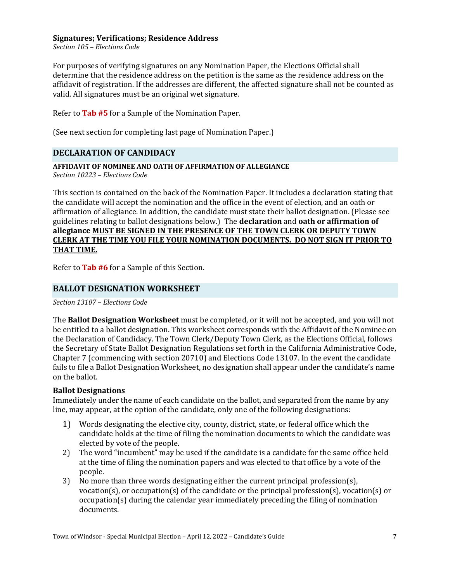#### **Signatures; Verifications; Residence Address**

*Section 105 – Elections Code*

For purposes of verifying signatures on any Nomination Paper, the Elections Official shall determine that the residence address on the petition is the same as the residence address on the affidavit of registration. If the addresses are different, the affected signature shall not be counted as valid. All signatures must be an original wet signature.

Refer to **Tab #5** for a Sample of the Nomination Paper.

(See next section for completing last page of Nomination Paper.)

#### **DECLARATION OF CANDIDACY**

#### **AFFIDAVIT OF NOMINEE AND OATH OF AFFIRMATION OF ALLEGIANCE**

*Section 10223 – Elections Code*

This section is contained on the back of the Nomination Paper. It includes a declaration stating that the candidate will accept the nomination and the office in the event of election, and an oath or affirmation of allegiance. In addition, the candidate must state their ballot designation. (Please see guidelines relating to ballot designations below.) The **declaration** and **oath or affirmation of allegiance MUST BE SIGNED IN THE PRESENCE OF THE TOWN CLERK OR DEPUTY TOWN CLERK AT THE TIME YOU FILE YOUR NOMINATION DOCUMENTS. DO NOT SIGN IT PRIOR TO THAT TIME.**

Refer to **Tab #6** for a Sample of this Section.

#### **BALLOT DESIGNATION WORKSHEET**

*Section 13107 – Elections Code*

The **Ballot Designation Worksheet** must be completed, or it will not be accepted, and you will not be entitled to a ballot designation. This worksheet corresponds with the Affidavit of the Nominee on the Declaration of Candidacy. The Town Clerk/Deputy Town Clerk, as the Elections Official, follows the Secretary of State Ballot Designation Regulations set forth in the California Administrative Code, Chapter 7 (commencing with section 20710) and Elections Code 13107. In the event the candidate fails to file a Ballot Designation Worksheet, no designation shall appear under the candidate's name on the ballot.

#### **Ballot Designations**

Immediately under the name of each candidate on the ballot, and separated from the name by any line, may appear, at the option of the candidate, only one of the following designations:

- 1) Words designating the elective city, county, district, state, or federal office which the candidate holds at the time of filing the nomination documents to which the candidate was elected by vote of the people.
- 2) The word "incumbent" may be used if the candidate is a candidate for the same office held at the time of filing the nomination papers and was elected to that office by a vote of the people.
- 3) No more than three words designating either the current principal profession(s), vocation(s), or occupation(s) of the candidate or the principal profession(s), vocation(s) or occupation(s) during the calendar year immediately preceding the filing of nomination documents.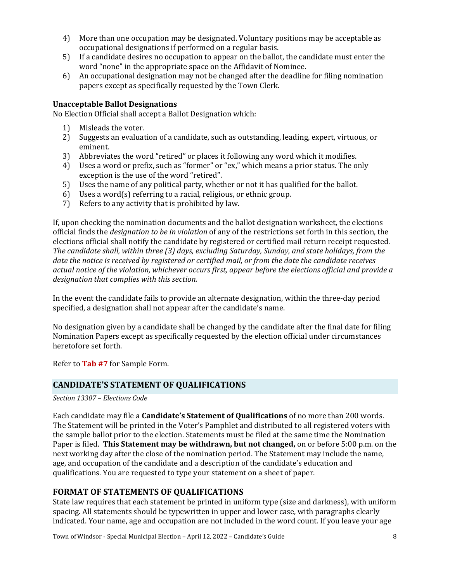- 4) More than one occupation may be designated. Voluntary positions may be acceptable as occupational designations if performed on a regular basis.
- 5) If a candidate desires no occupation to appear on the ballot, the candidate must enter the word "none" in the appropriate space on the Affidavit of Nominee.
- 6) An occupational designation may not be changed after the deadline for filing nomination papers except as specifically requested by the Town Clerk.

#### **Unacceptable Ballot Designations**

No Election Official shall accept a Ballot Designation which:

- 1) Misleads the voter.
- 2) Suggests an evaluation of a candidate, such as outstanding, leading, expert, virtuous, or eminent.
- 3) Abbreviates the word "retired" or places it following any word which it modifies.
- 4) Uses a word or prefix, such as "former" or "ex," which means a prior status. The only exception is the use of the word "retired".
- 5) Uses the name of any political party, whether or not it has qualified for the ballot.
- 6) Uses a word(s) referring to a racial, religious, or ethnic group.<br>  $7$  Refers to any activity that is prohibited by law.
- Refers to any activity that is prohibited by law.

If, upon checking the nomination documents and the ballot designation worksheet, the elections official finds the *designation to be in violation* of any of the restrictions set forth in this section, the elections official shall notify the candidate by registered or certified mail return receipt requested. *The candidate shall, within three (3) days, excluding Saturday, Sunday, and state holidays, from the date the notice is received by registered or certified mail, or from the date the candidate receives actual notice of the violation, whichever occurs first, appear before the elections official and provide a designation that complies with this section.*

In the event the candidate fails to provide an alternate designation, within the three-day period specified, a designation shall not appear after the candidate's name.

No designation given by a candidate shall be changed by the candidate after the final date for filing Nomination Papers except as specifically requested by the election official under circumstances heretofore set forth.

Refer to **Tab #7** for Sample Form.

#### **CANDIDATE'S STATEMENT OF QUALIFICATIONS**

#### *Section 13307 – Elections Code*

Each candidate may file a **Candidate's Statement of Qualifications** of no more than 200 words. The Statement will be printed in the Voter's Pamphlet and distributed to all registered voters with the sample ballot prior to the election. Statements must be filed at the same time the Nomination Paper is filed. **This Statement may be withdrawn, but not changed,** on or before 5:00 p.m. on the next working day after the close of the nomination period. The Statement may include the name, age, and occupation of the candidate and a description of the candidate's education and qualifications. You are requested to type your statement on a sheet of paper.

## **FORMAT OF STATEMENTS OF QUALIFICATIONS**

State law requires that each statement be printed in uniform type (size and darkness), with uniform spacing. All statements should be typewritten in upper and lower case, with paragraphs clearly indicated. Your name, age and occupation are not included in the word count. If you leave your age

Town of Windsor - Special Municipal Election – April 12, 2022 – Candidate's Guide 8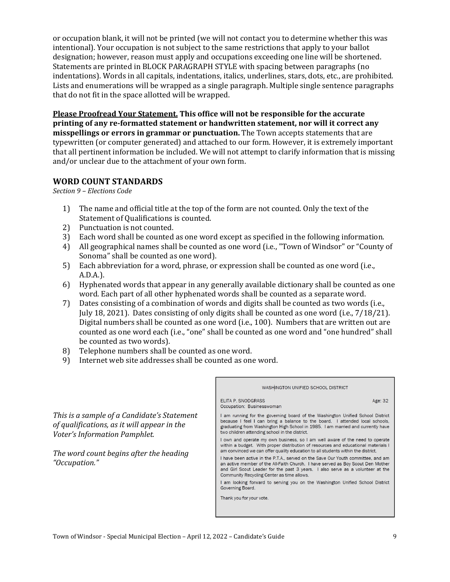or occupation blank, it will not be printed (we will not contact you to determine whether this was intentional). Your occupation is not subject to the same restrictions that apply to your ballot designation; however, reason must apply and occupations exceeding one line will be shortened. Statements are printed in BLOCK PARAGRAPH STYLE with spacing between paragraphs (no indentations). Words in all capitals, indentations, italics, underlines, stars, dots, etc., are prohibited. Lists and enumerations will be wrapped as a single paragraph. Multiple single sentence paragraphs that do not fit in the space allotted will be wrapped.

**Please Proofread Your Statement. This office will not be responsible for the accurate printing of any re-formatted statement or handwritten statement, nor will it correct any misspellings or errors in grammar or punctuation.** The Town accepts statements that are typewritten (or computer generated) and attached to our form. However, it is extremely important that all pertinent information be included. We will not attempt to clarify information that is missing and/or unclear due to the attachment of your own form.

#### **WORD COUNT STANDARDS**

*Section 9 – Elections Code*

- 1) The name and official title at the top of the form are not counted. Only the text of the Statement of Qualifications is counted.
- 2) Punctuation is not counted.
- 3) Each word shall be counted as one word except as specified in the following information.
- 4) All geographical names shall be counted as one word (i.e., "Town of Windsor" or "County of Sonoma" shall be counted as one word).
- 5) Each abbreviation for a word, phrase, or expression shall be counted as one word (i.e., A.D.A.).
- 6) Hyphenated words that appear in any generally available dictionary shall be counted as one word. Each part of all other hyphenated words shall be counted as a separate word.
- 7) Dates consisting of a combination of words and digits shall be counted as two words (i.e., July 18, 2021). Dates consisting of only digits shall be counted as one word (i.e., 7/18/21). Digital numbers shall be counted as one word (i.e., 100). Numbers that are written out are counted as one word each (i.e., "one" shall be counted as one word and "one hundred" shall be counted as two words).

Е

- 8) Telephone numbers shall be counted as one word.
- 9) Internet web site addresses shall be counted as one word.

*This is a sample of a Candidate's Statement of qualifications, as it will appear in the Voter's Information Pamphlet.* 

*The word count begins after the heading "Occupation."*

| WASHINGTON UNIFIED SCHOOL DISTRICT                                                                                                                                                                                                                                                                  |
|-----------------------------------------------------------------------------------------------------------------------------------------------------------------------------------------------------------------------------------------------------------------------------------------------------|
| ELITA P. SNODGRASS<br>Age: 32<br>Occupation: Businesswoman                                                                                                                                                                                                                                          |
| I am running for the governing board of the Washington Unified School District<br>because I feel I can bring a balance to the board. I attended local schools,<br>graduating from Washington High School in 1985. I am married and currently have<br>two children attending school in the district. |
| I own and operate my own business, so I am well aware of the need to operate<br>within a budget. With proper distribution of resources and educational materials I<br>am convinced we can offer quality education to all students within the district.                                              |
| I have been active in the P.T.A., served on the Save Our Youth committee, and am<br>an active member of the All-Faith Church. I have served as Boy Scout Den Mother<br>and Girl Scout Leader for the past 3 years. I also serve as a volunteer at the<br>Community Recycling Center as time allows. |
| I am looking forward to serving you on the Washington Unified School District<br>Governing Board.                                                                                                                                                                                                   |
| Thank you for your vote.                                                                                                                                                                                                                                                                            |
|                                                                                                                                                                                                                                                                                                     |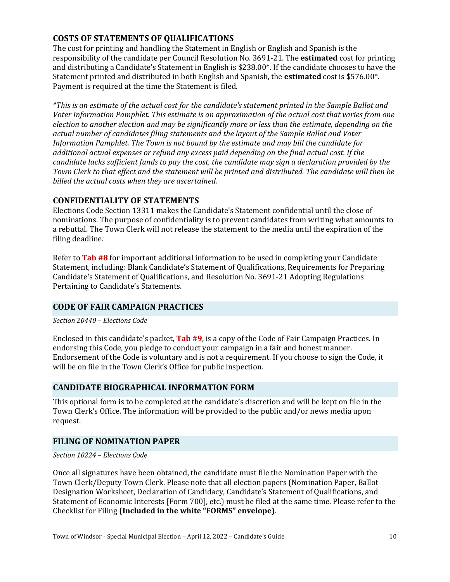## **COSTS OF STATEMENTS OF QUALIFICATIONS**

The cost for printing and handling the Statement in English or English and Spanish is the responsibility of the candidate per Council Resolution No. 3691-21. The **estimated** cost for printing and distributing a Candidate's Statement in English is \$238.00\*. If the candidate chooses to have the Statement printed and distributed in both English and Spanish, the **estimated** cost is \$576.00\*. Payment is required at the time the Statement is filed.

*\*This is an estimate of the actual cost for the candidate's statement printed in the Sample Ballot and Voter Information Pamphlet. This estimate is an approximation of the actual cost that varies from one election to another election and may be significantly more or less than the estimate, depending on the actual number of candidates filing statements and the layout of the Sample Ballot and Voter Information Pamphlet. The Town is not bound by the estimate and may bill the candidate for additional actual expenses or refund any excess paid depending on the final actual cost. If the candidate lacks sufficient funds to pay the cost, the candidate may sign a declaration provided by the Town Clerk to that effect and the statement will be printed and distributed. The candidate will then be billed the actual costs when they are ascertained.*

## **CONFIDENTIALITY OF STATEMENTS**

Elections Code Section 13311 makes the Candidate's Statement confidential until the close of nominations. The purpose of confidentiality is to prevent candidates from writing what amounts to a rebuttal. The Town Clerk will not release the statement to the media until the expiration of the filing deadline.

Refer to **Tab #8** for important additional information to be used in completing your Candidate Statement, including: Blank Candidate's Statement of Qualifications, Requirements for Preparing Candidate's Statement of Qualifications, and Resolution No. 3691-21 Adopting Regulations Pertaining to Candidate's Statements.

## **CODE OF FAIR CAMPAIGN PRACTICES**

*Section 20440 – Elections Code*

Enclosed in this candidate's packet, **Tab #9**, is a copy of the Code of Fair Campaign Practices. In endorsing this Code, you pledge to conduct your campaign in a fair and honest manner. Endorsement of the Code is voluntary and is not a requirement. If you choose to sign the Code, it will be on file in the Town Clerk's Office for public inspection.

## **CANDIDATE BIOGRAPHICAL INFORMATION FORM**

This optional form is to be completed at the candidate's discretion and will be kept on file in the Town Clerk's Office. The information will be provided to the public and/or news media upon request.

## **FILING OF NOMINATION PAPER**

*Section 10224 – Elections Code*

Once all signatures have been obtained, the candidate must file the Nomination Paper with the Town Clerk/Deputy Town Clerk. Please note that all election papers (Nomination Paper, Ballot Designation Worksheet, Declaration of Candidacy, Candidate's Statement of Qualifications, and Statement of Economic Interests [Form 700], etc.) must be filed at the same time. Please refer to the Checklist for Filing **(Included in the white "FORMS" envelope)**.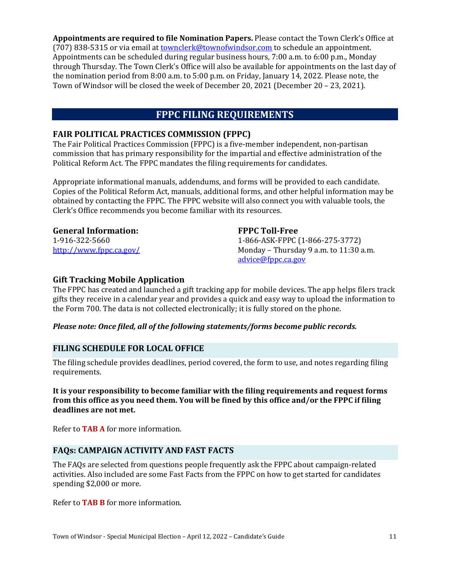**Appointments are required to file Nomination Papers.** Please contact the Town Clerk's Office at (707) 838-5315 or via email at *townclerk@townofwindsor.com* to schedule an appointment. Appointments can be scheduled during regular business hours, 7:00 a.m. to 6:00 p.m., Monday through Thursday. The Town Clerk's Office will also be available for appointments on the last day of the nomination period from 8:00 a.m. to 5:00 p.m. on Friday, January 14, 2022. Please note, the Town of Windsor will be closed the week of December 20, 2021 (December 20 – 23, 2021).

## **FPPC FILING REQUIREMENTS**

### **FAIR POLITICAL PRACTICES COMMISSION (FPPC)**

The Fair Political Practices Commission (FPPC) is a five-member independent, non-partisan commission that has primary responsibility for the impartial and effective administration of the Political Reform Act. The FPPC mandates the filing requirements for candidates.

Appropriate informational manuals, addendums, and forms will be provided to each candidate. Copies of the Political Reform Act, manuals, additional forms, and other helpful information may be obtained by contacting the FPPC. The FPPC website will also connect you with valuable tools, the Clerk's Office recommends you become familiar with its resources.

#### **General Information:**

1-916-322-5660 <http://www.fppc.ca.gov/>

#### **FPPC Toll-Free**

1-866-ASK-FPPC (1-866-275-3772) Monday – Thursday 9 a.m. to 11:30 a.m. [advice@fppc.ca.gov](mailto:advice@fppc.ca.gov) 

#### **Gift Tracking Mobile Application**

The FPPC has created and launched a gift tracking app for mobile devices. The app helps filers track gifts they receive in a calendar year and provides a quick and easy way to upload the information to the Form 700. The data is not collected electronically; it is fully stored on the phone.

#### *Please note: Once filed, all of the following statements/forms become public records.*

#### **FILING SCHEDULE FOR LOCAL OFFICE**

The filing schedule provides deadlines, period covered, the form to use, and notes regarding filing requirements.

**It is your responsibility to become familiar with the filing requirements and request forms from this office as you need them. You will be fined by this office and/or the FPPC if filing deadlines are not met.** 

Refer to **TAB A** for more information.

## **FAQs: CAMPAIGN ACTIVITY AND FAST FACTS**

The FAQs are selected from questions people frequently ask the FPPC about campaign-related activities. Also included are some Fast Facts from the FPPC on how to get started for candidates spending \$2,000 or more.

Refer to **TAB B** for more information.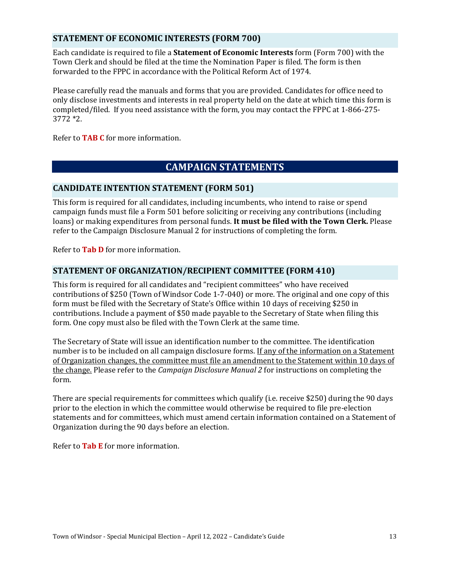## **STATEMENT OF ECONOMIC INTERESTS (FORM 700)**

Each candidate is required to file a **Statement of Economic Interests** form (Form 700) with the Town Clerk and should be filed at the time the Nomination Paper is filed. The form is then forwarded to the FPPC in accordance with the Political Reform Act of 1974.

Please carefully read the manuals and forms that you are provided. Candidates for office need to only disclose investments and interests in real property held on the date at which time this form is completed/filed. If you need assistance with the form, you may contact the FPPC at 1-866-275- 3772 \*2.

Refer to **TAB C** for more information.

## **CAMPAIGN STATEMENTS**

## **CANDIDATE INTENTION STATEMENT (FORM 501)**

This form is required for all candidates, including incumbents, who intend to raise or spend campaign funds must file a Form 501 before soliciting or receiving any contributions (including loans) or making expenditures from personal funds. **It must be filed with the Town Clerk.** Please refer to the Campaign Disclosure Manual 2 for instructions of completing the form.

Refer to **Tab D** for more information.

## **STATEMENT OF ORGANIZATION/RECIPIENT COMMITTEE (FORM 410)**

This form is required for all candidates and "recipient committees" who have received contributions of \$250 (Town of Windsor Code 1-7-040) or more. The original and one copy of this form must be filed with the Secretary of State's Office within 10 days of receiving \$250 in contributions. Include a payment of \$50 made payable to the Secretary of State when filing this form. One copy must also be filed with the Town Clerk at the same time.

The Secretary of State will issue an identification number to the committee. The identification number is to be included on all campaign disclosure forms. If any of the information on a Statement of Organization changes, the committee must file an amendment to the Statement within 10 days of the change. Please refer to the *Campaign Disclosure Manual 2* for instructions on completing the form.

There are special requirements for committees which qualify (i.e. receive \$250) during the 90 days prior to the election in which the committee would otherwise be required to file pre-election statements and for committees, which must amend certain information contained on a Statement of Organization during the 90 days before an election.

Refer to **Tab E** for more information.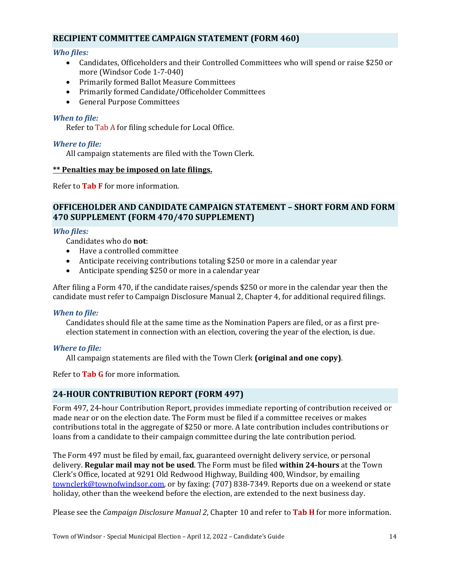#### **RECIPIENT COMMITTEE CAMPAIGN STATEMENT (FORM 460)**

#### *Who files:*

- Candidates, Officeholders and their Controlled Committees who will spend or raise \$250 or more (Windsor Code 1-7-040)
- Primarily formed Ballot Measure Committees
- Primarily formed Candidate/Officeholder Committees
- General Purpose Committees

#### *When to file:*

Refer to Tab A for filing schedule for Local Office.

#### *Where to file:*

All campaign statements are filed with the Town Clerk.

#### **\*\* Penalties may be imposed on late filings.**

Refer to **Tab F** for more information.

#### **OFFICEHOLDER AND CANDIDATE CAMPAIGN STATEMENT – SHORT FORM AND FORM 470 SUPPLEMENT (FORM 470/470 SUPPLEMENT)**

#### *Who files:*

Candidates who do **not**:

- Have a controlled committee
- Anticipate receiving contributions totaling \$250 or more in a calendar year
- Anticipate spending \$250 or more in a calendar year

After filing a Form 470, if the candidate raises/spends \$250 or more in the calendar year then the candidate must refer to Campaign Disclosure Manual 2, Chapter 4, for additional required filings.

#### *When to file:*

Candidates should file at the same time as the Nomination Papers are filed, or as a first preelection statement in connection with an election, covering the year of the election, is due.

#### *Where to file:*

All campaign statements are filed with the Town Clerk **(original and one copy)**.

Refer to **Tab G** for more information.

#### **24-HOUR CONTRIBUTION REPORT (FORM 497)**

Form 497, 24-hour Contribution Report, provides immediate reporting of contribution received or made near or on the election date. The Form must be filed if a committee receives or makes contributions total in the aggregate of \$250 or more. A late contribution includes contributions or loans from a candidate to their campaign committee during the late contribution period.

The Form 497 must be filed by email, fax, guaranteed overnight delivery service, or personal delivery. **Regular mail may not be used**. The Form must be filed **within 24-hours** at the Town Clerk's Office, located at 9291 Old Redwood Highway, Building 400, Windsor, by emailing [townclerk@townofwindsor.com,](mailto:townclerk@townofwindsor.com) or by faxing: (707) 838-7349. Reports due on a weekend or state holiday, other than the weekend before the election, are extended to the next business day.

Please see the *Campaign Disclosure Manual 2*, Chapter 10 and refer to **Tab H** for more information.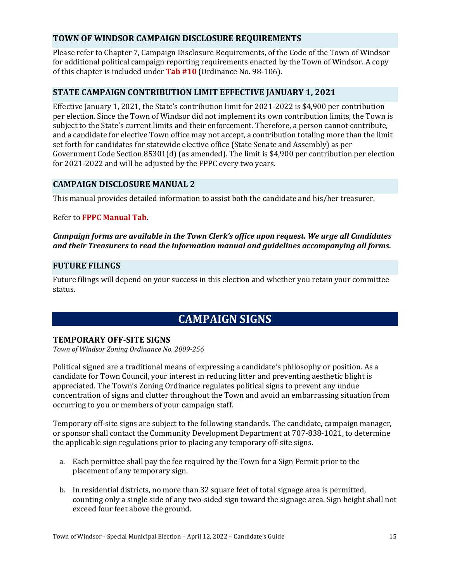## **TOWN OF WINDSOR CAMPAIGN DISCLOSURE REQUIREMENTS**

Please refer to Chapter 7, Campaign Disclosure Requirements, of the Code of the Town of Windsor for additional political campaign reporting requirements enacted by the Town of Windsor. A copy of this chapter is included under **Tab #10** (Ordinance No. 98-106).

#### **STATE CAMPAIGN CONTRIBUTION LIMIT EFFECTIVE JANUARY 1, 2021**

Effective January 1, 2021, the State's contribution limit for 2021-2022 is \$4,900 per contribution per election. Since the Town of Windsor did not implement its own contribution limits, the Town is subject to the State's current limits and their enforcement. Therefore, a person cannot contribute, and a candidate for elective Town office may not accept, a contribution totaling more than the limit set forth for candidates for statewide elective office (State Senate and Assembly) as per Government Code Section 85301(d) (as amended). The limit is \$4,900 per contribution per election for 2021-2022 and will be adjusted by the FPPC every two years.

#### **CAMPAIGN DISCLOSURE MANUAL 2**

This manual provides detailed information to assist both the candidate and his/her treasurer.

#### Refer to **FPPC Manual Tab**.

#### *Campaign forms are available in the Town Clerk's office upon request. We urge all Candidates and their Treasurers to read the information manual and guidelines accompanying all forms.*

#### **FUTURE FILINGS**

Future filings will depend on your success in this election and whether you retain your committee status.

## **CAMPAIGN SIGNS**

#### **TEMPORARY OFF-SITE SIGNS**

*Town of Windsor Zoning Ordinance No. 2009-256*

Political signed are a traditional means of expressing a candidate's philosophy or position. As a candidate for Town Council, your interest in reducing litter and preventing aesthetic blight is appreciated. The Town's Zoning Ordinance regulates political signs to prevent any undue concentration of signs and clutter throughout the Town and avoid an embarrassing situation from occurring to you or members of your campaign staff.

Temporary off-site signs are subject to the following standards. The candidate, campaign manager, or sponsor shall contact the Community Development Department at 707-838-1021, to determine the applicable sign regulations prior to placing any temporary off-site signs.

- a. Each permittee shall pay the fee required by the Town for a Sign Permit prior to the placement of any temporary sign.
- b. In residential districts, no more than 32 square feet of total signage area is permitted, counting only a single side of any two-sided sign toward the signage area. Sign height shall not exceed four feet above the ground.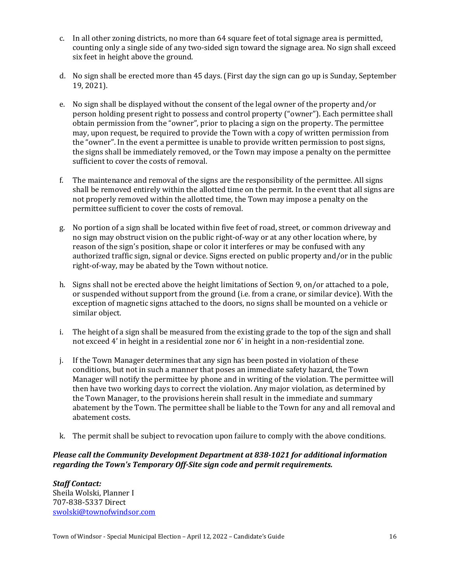- c. In all other zoning districts, no more than 64 square feet of total signage area is permitted, counting only a single side of any two-sided sign toward the signage area. No sign shall exceed six feet in height above the ground.
- d. No sign shall be erected more than 45 days. (First day the sign can go up is Sunday, September 19, 2021).
- e. No sign shall be displayed without the consent of the legal owner of the property and/or person holding present right to possess and control property ("owner"). Each permittee shall obtain permission from the "owner", prior to placing a sign on the property. The permittee may, upon request, be required to provide the Town with a copy of written permission from the "owner". In the event a permittee is unable to provide written permission to post signs, the signs shall be immediately removed, or the Town may impose a penalty on the permittee sufficient to cover the costs of removal.
- f. The maintenance and removal of the signs are the responsibility of the permittee. All signs shall be removed entirely within the allotted time on the permit. In the event that all signs are not properly removed within the allotted time, the Town may impose a penalty on the permittee sufficient to cover the costs of removal.
- g. No portion of a sign shall be located within five feet of road, street, or common driveway and no sign may obstruct vision on the public right-of-way or at any other location where, by reason of the sign's position, shape or color it interferes or may be confused with any authorized traffic sign, signal or device. Signs erected on public property and/or in the public right-of-way, may be abated by the Town without notice.
- h. Signs shall not be erected above the height limitations of Section 9, on/or attached to a pole, or suspended without support from the ground (i.e. from a crane, or similar device). With the exception of magnetic signs attached to the doors, no signs shall be mounted on a vehicle or similar object.
- i. The height of a sign shall be measured from the existing grade to the top of the sign and shall not exceed 4' in height in a residential zone nor 6' in height in a non-residential zone.
- j. If the Town Manager determines that any sign has been posted in violation of these conditions, but not in such a manner that poses an immediate safety hazard, the Town Manager will notify the permittee by phone and in writing of the violation. The permittee will then have two working days to correct the violation. Any major violation, as determined by the Town Manager, to the provisions herein shall result in the immediate and summary abatement by the Town. The permittee shall be liable to the Town for any and all removal and abatement costs.
- k. The permit shall be subject to revocation upon failure to comply with the above conditions.

#### *Please call the Community Development Department at 838-1021 for additional information regarding the Town's Temporary Off-Site sign code and permit requirements.*

*Staff Contact:* Sheila Wolski, Planner I 707-838-5337 Direct [swolski@townofwindsor.com](mailto:swolski@townofwindsor.com)